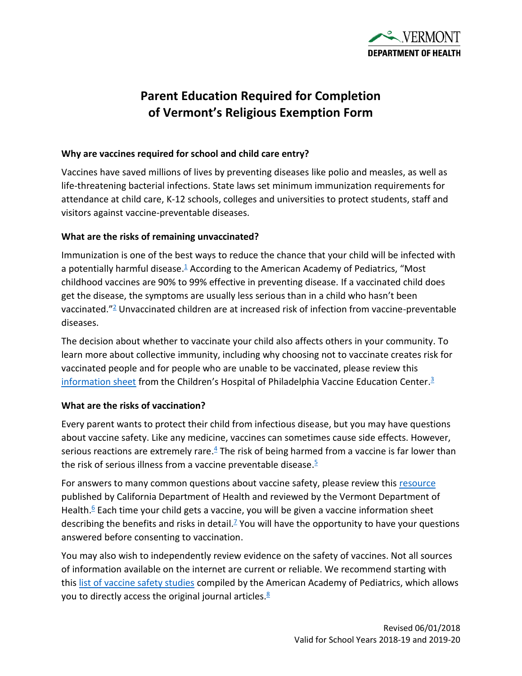

# **Parent Education Required for Completion of Vermont's Religious Exemption Form**

#### **Why are vaccines required for school and child care entry?**

Vaccines have saved millions of lives by preventing diseases like polio and measles, as well as life-threatening bacterial infections. State laws set minimum immunization requirements for attendance at child care, K-12 schools, colleges and universities to protect students, staff and visitors against vaccine-preventable diseases.

## **What are the risks of remaining unvaccinated?**

Immunization is one of the best ways to reduce the chance that your child will be infected with a potentially harmful disease.<sup>[1](https://www.cdc.gov/vaccines/parents/diseases/index.html)</sup> According to the American Academy of Pediatrics, "Most childhood vaccines are 90% to 99% effective in preventing disease. If a vaccinated child does get the disease, the symptoms are usually less serious than in a child who hasn't been vaccinated."[2](https://www.healthychildren.org/English/safety-prevention/immunizations/Pages/Vaccine-Safety-The-Facts.aspx) Unvaccinated children are at increased risk of infection from vaccine-preventable diseases.

The decision about whether to vaccinate your child also affects others in your community. To learn more about collective immunity, including why choosing not to vaccinate creates risk for vaccinated people and for people who are unable to be vaccinated, please review this [information sheet](https://media.chop.edu/data/files/pdfs/vaccine-education-center-vaccinated-unvaccinated.pdf) from the Children's Hospital of Philadelphia Vaccine Education Center.<sup>[3](https://media.chop.edu/data/files/pdfs/vaccine-education-center-vaccinated-unvaccinated.pdf)</sup>

## **What are the risks of vaccination?**

Every parent wants to protect their child from infectious disease, but you may have questions about vaccine safety. Like any medicine, vaccines can sometimes cause side effects. However, serious reactions are extremely rare. $4$  The risk of being harmed from a vaccine is far lower than the risk of serious illness from a vaccine preventable disease[.](https://www.fda.gov/ForConsumers/ConsumerUpdates/ucm457415.htm)<sup>5</sup>

For answers to many common questions about vaccine safety, please review this [resource](http://eziz.org/assets/docs/IMM-916.pdf) published by California Department of Health and reviewed by the Vermont Department of Health.<sup>[6](http://eziz.org/assets/docs/IMM-916.pdf)</sup> Each time your child gets a vaccine, you will be given a vaccine information sheet describing the benefits and risks in detail.<sup>[7](https://www.cdc.gov/vaccines/hcp/vis/index.html)</sup> You will have the opportunity to have your questions answered before consenting to vaccination.

You may also wish to independently review evidence on the safety of vaccines. Not all sources of information available on the internet are current or reliable. We recommend starting with this list [of vaccine safety studies](https://www.healthychildren.org/English/safety-prevention/immunizations/Pages/Vaccine-Studies-Examine-the-Evidence.aspx) compiled by the American Academy of Pediatrics, which allows you to directly access the original journal articles.<sup>[8](https://www.healthychildren.org/English/safety-prevention/immunizations/Pages/Vaccine-Studies-Examine-the-Evidence.aspx)</sup>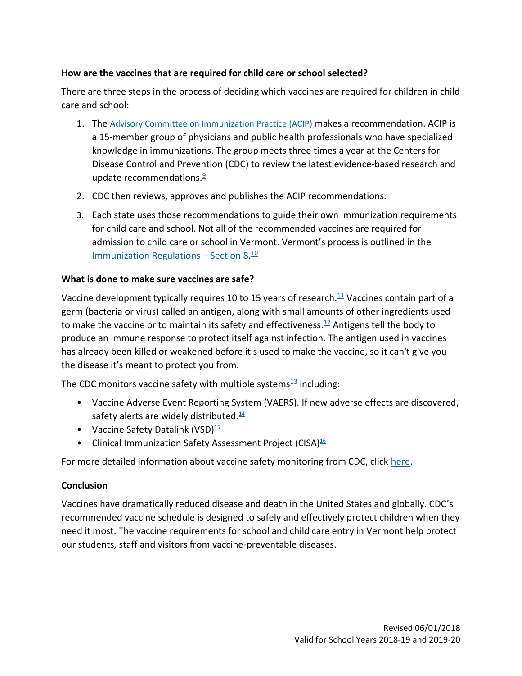# **How are the vaccines that are required for child care or school selected?**

There are three steps in the process of deciding which vaccines are required for children in child care and school:

- 1. The [Advisory Committee on Immunization Practice \(ACIP\)](https://www.cdc.gov/vaccines/acip/index.html) makes a recommendation. ACIP is a 15-member group of physicians and public health professionals who have specialized knowledge in immunizations. The group meets three times a year at the Centers for Disease Control and Prevention (CDC) to review the latest evidence-based research and update recommendations.<sup>[9](https://www.cdc.gov/vaccines/hcp/conversations/downloads/vacsafe-acip-color-office.pdf)</sup>
- 2. CDC then reviews, approves and publishes the ACIP recommendations.
- 3. Each state uses those recommendations to guide their own immunization requirements for child care and school. Not all of the recommended vaccines are required for admission to child care or school in Vermont. Vermont's process is outlined in the [Immunization Regulations](http://www.healthvermont.gov/sites/default/files/documents/2016/12/REG_immunization.pdf) - Section 8.<sup>[10](http://www.healthvermont.gov/sites/default/files/documents/2016/12/REG_immunization.pdf)</sup>

## **What is done to make sure vaccines are safe?**

Vaccine development typically requires 10 to 15 years of research.<sup>[11](https://www.historyofvaccines.org/content/articles/vaccine-development-testing-and-regulation)</sup> Vaccines contain part of a germ (bacteria or virus) called an antigen, along with small amounts of other ingredients used to make the vaccine or to maintain its safety and effectiveness.<sup>[12](http://www.chop.edu/centers-programs/vaccine-education-center/vaccine-ingredients)</sup> Antigens tell the body to produce an immune response to protect itself against infection. The antigen used in vaccines has already been killed or weakened before it's used to make the vaccine, so it can't give you the disease it's meant to protect you from.

The CDC monitors vaccine safety with multiple systems $\frac{13}{2}$  $\frac{13}{2}$  $\frac{13}{2}$  including:

- Vaccine Adverse Event Reporting System (VAERS). If new adverse effects are discovered, safety alerts are widely distributed. $14$
- Vaccine Safety Datalink (VSD) $\frac{15}{10}$  $\frac{15}{10}$  $\frac{15}{10}$
- Clinical Immunization Safety Assessment Project (CISA)<sup>[16](https://www.cdc.gov/vaccinesafety/ensuringsafety/monitoring/cisa/index.html)</sup>

For more detailed information about vaccine safety monitoring from CDC, click [here.](https://www.cdc.gov/vaccines/hcp/conversations/downloads/vacsafe-ensuring-color-office.pdf)

## **Conclusion**

Vaccines have dramatically reduced disease and death in the United States and globally. CDC's recommended vaccine schedule is designed to safely and effectively protect children when they need it most. The vaccine requirements for school and child care entry in Vermont help protect our students, staff and visitors from vaccine-preventable diseases.